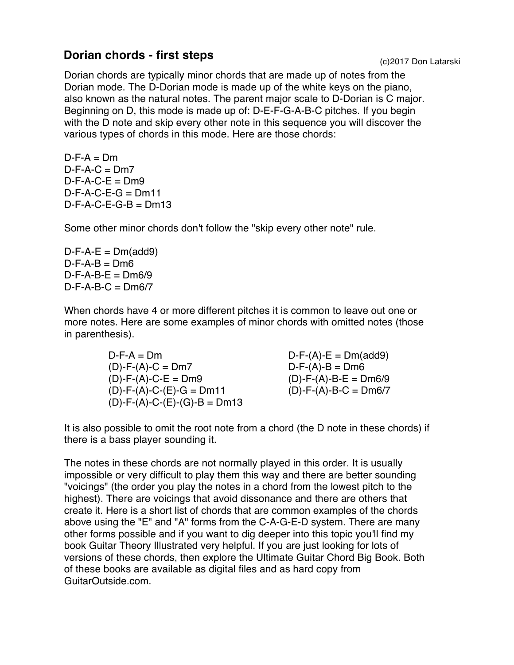## **Dorian chords - first steps** (c)2017 Don Latarski

Dorian chords are typically minor chords that are made up of notes from the Dorian mode. The D-Dorian mode is made up of the white keys on the piano, also known as the natural notes. The parent major scale to D-Dorian is C major. Beginning on D, this mode is made up of: D-E-F-G-A-B-C pitches. If you begin with the D note and skip every other note in this sequence you will discover the various types of chords in this mode. Here are those chords:

 $D-F-A = Dm$  $D-F-A-C = Dm7$  $D-F-A-C-E = Dm9$  $D-F-A-C-E-G = Dm11$  $D-F-A-C-E-G-B = Dm13$ 

Some other minor chords don't follow the "skip every other note" rule.

 $D-F-A-E = Dm(\text{add}9)$  $D-F-A-B = Dm6$  $D-F-A-B-E = Dm6/9$  $D-F-A-B-C = Dmg/7$ 

When chords have 4 or more different pitches it is common to leave out one or more notes. Here are some examples of minor chords with omitted notes (those in parenthesis).

> $D-F-A = Dm$  $(D) - F - (A) - C = Dm7$  $(D)$ -F- $(A)$ -C-E = Dm9 (D)-F-(A)-C-(E)-G = Dm11  $(D)$ -F- $(A)$ -C- $(E)$ - $(G)$ -B = Dm13

 $D-F-(A)-E = Dm(\text{add}9)$  $D-F-(A)-B = Dm6$  $(D)$ -F- $(A)$ -B-E = Dm6/9  $(D)$ -F- $(A)$ -B-C = Dm6/7

It is also possible to omit the root note from a chord (the D note in these chords) if there is a bass player sounding it.

The notes in these chords are not normally played in this order. It is usually impossible or very difficult to play them this way and there are better sounding "voicings" (the order you play the notes in a chord from the lowest pitch to the highest). There are voicings that avoid dissonance and there are others that create it. Here is a short list of chords that are common examples of the chords above using the "E" and "A" forms from the C-A-G-E-D system. There are many other forms possible and if you want to dig deeper into this topic you'll find my book Guitar Theory Illustrated very helpful. If you are just looking for lots of versions of these chords, then explore the Ultimate Guitar Chord Big Book. Both of these books are available as digital files and as hard copy from GuitarOutside.com.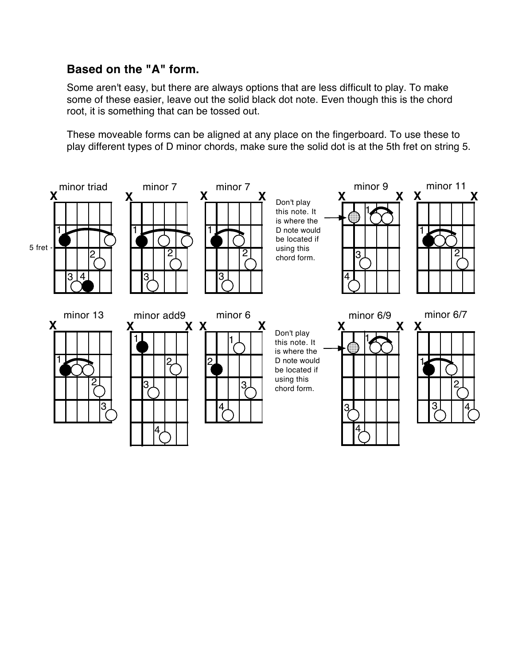## **Based on the "A" form.**

Some aren't easy, but there are always options that are less difficult to play. To make some of these easier, leave out the solid black dot note. Even though this is the chord root, it is something that can be tossed out.

These moveable forms can be aligned at any place on the fingerboard. To use these to play different types of D minor chords, make sure the solid dot is at the 5th fret on string 5.